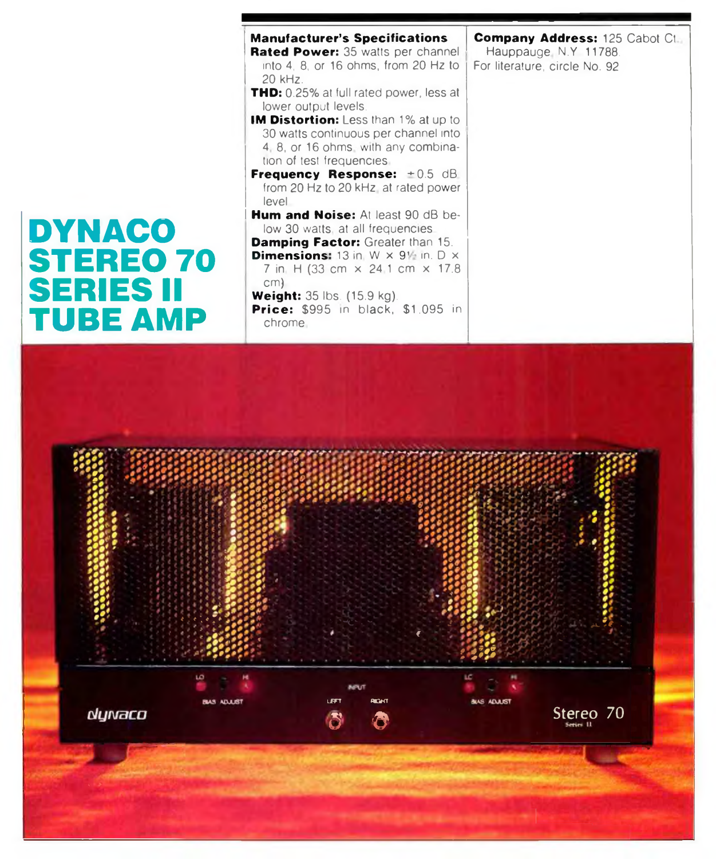## **IDYNACO STEREO 70 SERIES II TUBE AMP**

*s\**

dynaco

 $e \circ e \circ e \circ e$ 

*j \**

ADAM

| <b>Manufacturer's Specifications</b><br>Rated Power: 35 watts per channel                                                                               | Compar<br>Haupp. |
|---------------------------------------------------------------------------------------------------------------------------------------------------------|------------------|
| into 4, 8, or 16 ohms, from 20 Hz to<br>20 kHz.                                                                                                         | For literat      |
| <b>THD:</b> 0.25% at full rated power, less at<br>lower output levels.                                                                                  |                  |
| <b>IM Distortion:</b> Less than 1% at up to<br>30 watts continuous per channel into<br>4, 8, or 16 ohms, with any combina-<br>tion of test frequencies. |                  |
| <b>Frequency Response:</b> $\pm 0.5$ dB<br>from 20 Hz to 20 kHz, at rated power<br>level                                                                |                  |
| <b>Hum and Noise:</b> At least 90 dB be-<br>low 30 watts, at all frequencies.<br><b>Damping Factor:</b> Greater than 15.                                |                  |
| <b>Dimensions:</b> 13 in, $W \times 9$ in, $D \times$<br>7 in H (33 cm × 24.1 cm × 17.8)<br>cm)                                                         |                  |
| <b>Weight:</b> $35$ lbs. $(15.9 \text{ kg})$ .<br><b>Price:</b> \$995 in black, \$1,095 in<br>chrome.                                                   |                  |

LEFT RIGHT *9 9*

> :-<o. - - -• *J '* A i r . **€** *<i>f state of the state of the state of ; i i •%*

 $10.167$ 

Stereo 70

**Company Address:** 125 Cabot Ct Hauppauge N.Y 11788. ture, circle No. 92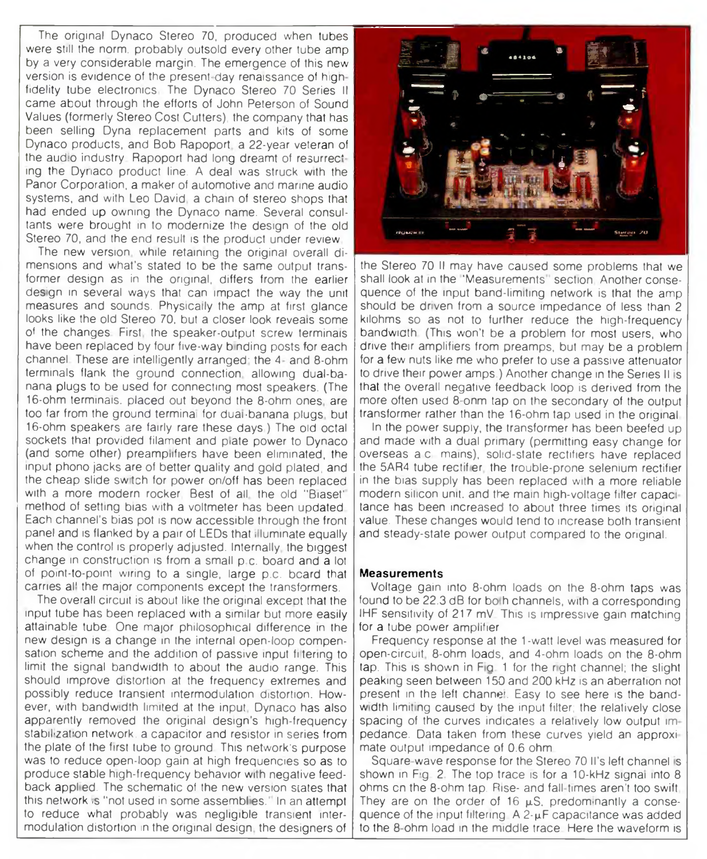The original Dynaco Stereo 70, produced when tubes were still the norm, probably outsold every other tube amp by a very considerable margin. The emergence of this new version is evidence of the present-day renaissance of hign fidelity tube electronics The Dynaco Stereo 70 Series II came about through the efforts of John Peterson of Sound Values (formerly Stereo Cost Cutters), the company that has been selling Dyna replacement parts and kits of some Dynaco products, and Bob Rapoport a 22-year veteran of the audio industry. Rapoport had long dreamt of resurrecting the Dyriaco product line. A deal was struck with the Panor Corporation, a maker of automotive and marine audio systems, and with Leo David, a chain of stereo shops that had ended up owning the Dynaco name. Several consultants were brought in to modernize the design of the old Stereo 70, and the end result is the product under review

The new version while retaining the original overall dimensions and what's stated to be the same output transformer design as in the original, differs from the earlier design in several ways that can impact the way the unit measures and sounds. Physically the amp at first glance looks like the old Stereo 70. but a closer look reveais some of the changes First the speaker-output screw terminals have been replaced by four five-way binding posts for each channel These are intelligently arranged' the 4 and 8-ohm terminals flank the ground connection allowing dual-banana plugs to be used for connecting most speakers. (The 16-ohm terminals, placed out beyond the 8-ohm ones are too far from the ground terminal for dual-banana plugs, but 16-ohm speakers are fairly rare these days ) The old octal sockets that provided filament and piate power to Dynaco (and some other) preamplifiers have been eliminated, the input phono jacks are of better quality and gold plated, and the cheap slide sw tch for power on/off has been replaced with a more modern rocker. Best of all the old "Biaset" method of setting bias with a voltmeter has been updated Each channel's bias pot is now accessible through the front panel and is flanked by a pair of LEDs that illuminate equally when the control is properly adjusted. Internally, the biggest change in construction is from a small p.c. board and a lot of point-to-point wring to a single, large p.c. beard that carries all the major components except the transformers.

The overall circuit is about like the original except that the input tube has been replaced with a similar but more easily attainable tube One major philosophical difference in the new design is a change in the internal open-loop compensation scheme and the addition of passive input filtering to limit the signal bandwidth to about the audio range. This should improve distortion at the frequency extremes and possibly reduce transient intermodulation distortion. However, with bandwidth limited at the input. Dynaco has also apparently removed the original design's high-frequency stabilization network, a capacitor and resistor in series from the plate of the first tube to ground This network's purpose was to reduce open-loop gain at high frequencies so as to produce stable high-frequency behavior with negative feedback applied. The schematic of the new version states that this network is "not used in some assemblies." In an attempt to reduce what probably was negligible transient intermodulation distortion in the original design the designers of



the Stereo 70 II may have caused some problems that we shall look at in the "Measurements" section. Another consequence of the input band-limiting network is that the amp should be driven from a source impedance of less than 2 kilohms so as not to further reduce the high-frequency bandwigth (This won't be a problem for most users, who drive their amplifiers from preamps, but may be a problem for a few nuts like me who prefer to use a passive attenuator to drive their power amps.) Another change in the Series II is that the overall negative feedback loop is derived from the more often used 8-onm tap on the secondary of the output transformer rather than the 16-ohm tap used in the original

In the power supply, the transformer has been beefed up and made with a dual primary (permitting easy change for overseas a c mains), solid-state rectifiers have replaced the 5AR4 tube rectifier, the trouble-prone selenium rectifier in the bias supply has been replaced with a more reliable modern silicon unit, and the main high-voltage filter capac tance has been increased to about three times its original value. These changes would tend to increase both transient and steady-state power output compared to the original.

## **Measurements**

Voltage gain into 8-ohm loads on the 8-ohm taps was found to be 22.3 dE for bo h channels, with a corresponding IHF sensitivity of 217 mV This is impressive gain matching for a tube power amplifier

Frequency response at the 1-watt level was measured for open-circuit 8-ohm loads, and 4-ohm loads on the 8-ohm tap. This is shown in Fig. 1 for the right channel; the slight peaking seen between 150 and 200 kHz is an aberration not present in the left channel. Easy to see here is the bandwidth limiting caused by the input filter; the relatively close spacing of the curves indicates a relatively low output im pedance. Data taken from these curves yield an approxi mate output impedance of 0.6 ohm

Square-wave response for the Stereo 70 II's left channel is shown in Fig. 2. The top trace is for a 10-kHz signal into 8 ohms cn the 8-ohm tap. Rise- and fall times aren't too swift They are on the order of 16  $\mu$ S. predominantly a consequence of the input filtering  $A 2 \cdot \mu F$  capacitance was added to the 8 ohm load in the middle trace Here the waveform is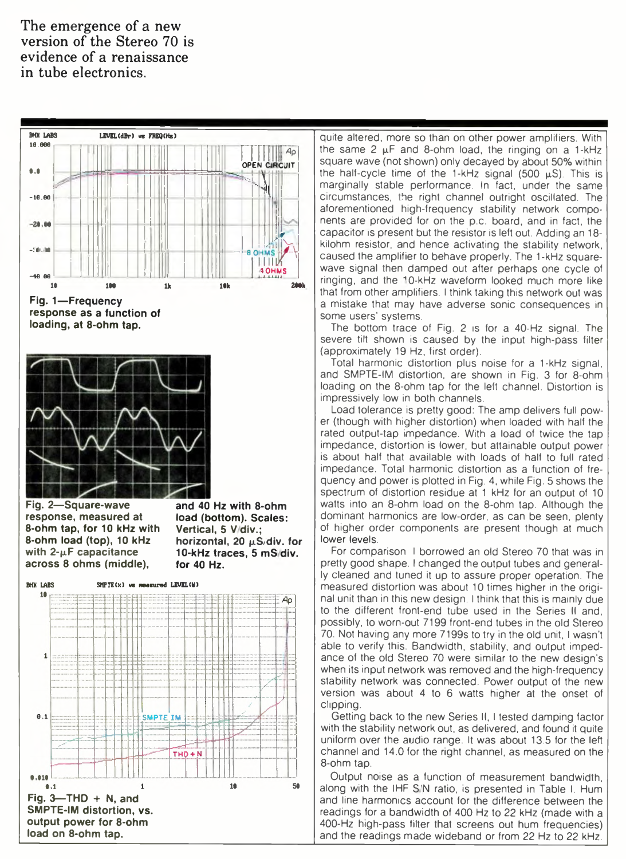The emergence of a new version of the Stereo 70 is evidence of a renaissance in tube electronics.



quite altered, more so than on other power amplifiers. With the same 2  $\mu$ F and 8-ohm load, the ringing on a 1-kHz square wave (not shown) only decayed by about 50% within the half-cycle time of the 1-kHz signal (500  $\mu$ S). This is marginally stable performance. In fact, under the same circumstances, the right channel outright oscillated. The aforementioned high-frequency stability network components are provided for on the p.c. board, and in fact, the capacitor is present but the resistor is left out. Adding an 18kilohm resistor, and hence activating the stability network, caused the amplifier to behave properly. The 1-kHz squarewave signal then damped out after perhaps one cycle of ringing, and the 10-kHz waveform looked much more like that from other amplifiers. I think taking this network out was a mistake that may have adverse sonic consequences in some users' systems.

The bottom trace of Fig. 2 is for a 40-Hz signal. The severe tilt shown is caused by the input high-pass filter (approximately 19 Hz, first order).

Total harmonic distortion plus noise for a 1-kHz signal, and SMPTE-IM distortion, are shown in Fig. 3 for 8-ohm loading on the 8-ohm tap for the left channel. Distortion is impressively low in both channels.

Load tolerance is pretty good: The amp delivers full power (though with higher distortion) when loaded with half the rated output-tap impedance. With a load of twice the tap impedance, distortion is lower, but attainable output power is about half that available with loads of half to full rated impedance. Total harmonic distortion as a function of frequency and power is plotted in Fig. 4, while Fig. 5 shows the spectrum of distortion residue at 1 kHz for an output of 10 watts into an 8-ohm load on the 8-ohm tap. Although the dominant harmonics are low-order, as can be seen, plenty of higher order components are present though at much lower levels.

For comparison I borrowed an old Stereo 70 that was in pretty good shape. I changed the output tubes and generally cleaned and tuned it up to assure proper operation. The measured distortion was about 10 times higher in the original unit than in this new design. I think that this is mainly due to the different front-end tube used in the Series II and, possibly, to worn-out 7199 front-end tubes in the old Stereo 70. Not having any more 7199s to try in the old unit, I wasn't able to verify this. Bandwidth, stability, and output impedance of the old Stereo 70 were similar to the new design's when its input network was removed and the high-frequency stability network was connected. Power output of the new version was about 4 to 6 watts higher at the onset of clipping.

Getting back to the new Series II, I tested damping factor with the stability network out, as delivered, and found it quite uniform over the audio range. It was about 13.5 for the left channel and 14.0 for the right channel, as measured on the 8-ohm tap.

Output noise as a function of measurement bandwidth, along with the IHF S'N ratio, is presented in Table I. Hum and line harmonics account for the difference between the readings for a bandwidth of 400 Hz to 22 kHz (made with a 400-Hz high-pass filter that screens out hum frequencies) and the readings made wideband or from 22 Hz to 22 kHz.